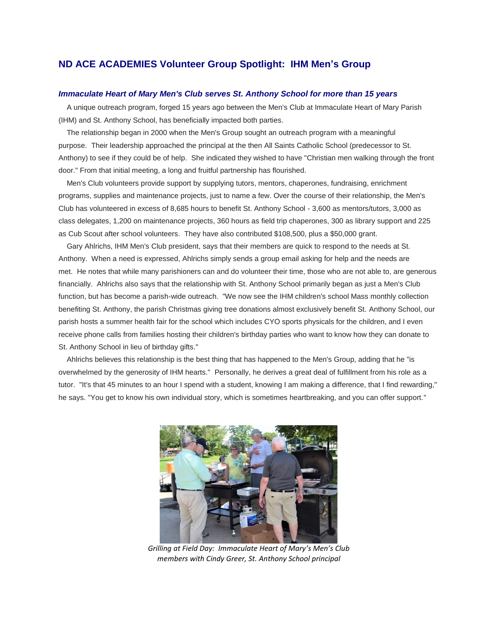## **ND ACE ACADEMIES Volunteer Group Spotlight: IHM Men's Group**

## *Immaculate Heart of Mary Men's Club serves St. Anthony School for more than 15 years*

A unique outreach program, forged 15 years ago between the Men's Club at Immaculate Heart of Mary Parish (IHM) and St. Anthony School, has beneficially impacted both parties.

The relationship began in 2000 when the Men's Group sought an outreach program with a meaningful purpose. Their leadership approached the principal at the then All Saints Catholic School (predecessor to St. Anthony) to see if they could be of help. She indicated they wished to have "Christian men walking through the front door." From that initial meeting, a long and fruitful partnership has flourished.

Men's Club volunteers provide support by supplying tutors, mentors, chaperones, fundraising, enrichment programs, supplies and maintenance projects, just to name a few. Over the course of their relationship, the Men's Club has volunteered in excess of 8,685 hours to benefit St. Anthony School - 3,600 as mentors/tutors, 3,000 as class delegates, 1,200 on maintenance projects, 360 hours as field trip chaperones, 300 as library support and 225 as Cub Scout after school volunteers. They have also contributed \$108,500, plus a \$50,000 grant.

Gary Ahlrichs, IHM Men's Club president, says that their members are quick to respond to the needs at St. Anthony. When a need is expressed, Ahlrichs simply sends a group email asking for help and the needs are met. He notes that while many parishioners can and do volunteer their time, those who are not able to, are generous financially. Ahlrichs also says that the relationship with St. Anthony School primarily began as just a Men's Club function, but has become a parish-wide outreach. "We now see the IHM children's school Mass monthly collection benefiting St. Anthony, the parish Christmas giving tree donations almost exclusively benefit St. Anthony School, our parish hosts a summer health fair for the school which includes CYO sports physicals for the children, and I even receive phone calls from families hosting their children's birthday parties who want to know how they can donate to St. Anthony School in lieu of birthday gifts."

Ahlrichs believes this relationship is the best thing that has happened to the Men's Group, adding that he "is overwhelmed by the generosity of IHM hearts." Personally, he derives a great deal of fulfillment from his role as a tutor. "It's that 45 minutes to an hour I spend with a student, knowing I am making a difference, that I find rewarding," he says. "You get to know his own individual story, which is sometimes heartbreaking, and you can offer support."



*Grilling at Field Day: Immaculate Heart of Mary's Men's Club members with Cindy Greer, St. Anthony School principal*